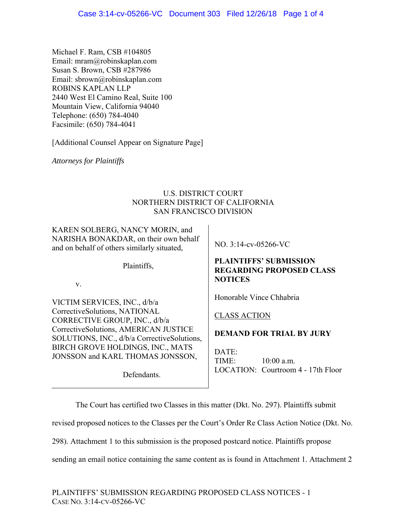Michael F. Ram, CSB #104805 Email: mram@robinskaplan.com Susan S. Brown, CSB #287986 Email: sbrown@robinskaplan.com ROBINS KAPLAN LLP 2440 West El Camino Real, Suite 100 Mountain View, California 94040 Telephone: (650) 784-4040 Facsimile: (650) 784-4041

[Additional Counsel Appear on Signature Page]

*Attorneys for Plaintiffs* 

## U.S. DISTRICT COURT NORTHERN DISTRICT OF CALIFORNIA SAN FRANCISCO DIVISION

KAREN SOLBERG, NANCY MORIN, and NARISHA BONAKDAR, on their own behalf and on behalf of others similarly situated,

Plaintiffs,

v.

VICTIM SERVICES, INC., d/b/a CorrectiveSolutions, NATIONAL CORRECTIVE GROUP, INC., d/b/a CorrectiveSolutions, AMERICAN JUSTICE SOLUTIONS, INC., d/b/a CorrectiveSolutions, BIRCH GROVE HOLDINGS, INC., MATS JONSSON and KARL THOMAS JONSSON,

Defendants.

NO. 3:14-cv-05266-VC

### **PLAINTIFFS' SUBMISSION REGARDING PROPOSED CLASS NOTICES**

Honorable Vince Chhabria

## CLASS ACTION

# **DEMAND FOR TRIAL BY JURY**

DATE: TIME: 10:00 a.m. LOCATION: Courtroom 4 - 17th Floor

The Court has certified two Classes in this matter (Dkt. No. 297). Plaintiffs submit

revised proposed notices to the Classes per the Court's Order Re Class Action Notice (Dkt. No.

298). Attachment 1 to this submission is the proposed postcard notice. Plaintiffs propose

sending an email notice containing the same content as is found in Attachment 1. Attachment 2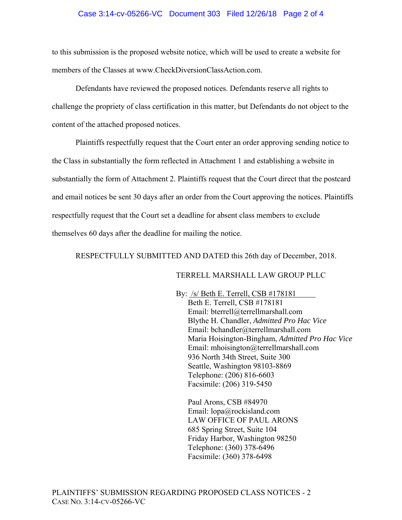#### Case 3:14-cv-05266-VC Document 303 Filed 12/26/18 Page 2 of 4

to this submission is the proposed website notice, which will be used to create a website for members of the Classes at www.CheckDiversionClassAction.com.

Defendants have reviewed the proposed notices. Defendants reserve all rights to challenge the propriety of class certification in this matter, but Defendants do not object to the content of the attached proposed notices.

 Plaintiffs respectfully request that the Court enter an order approving sending notice to the Class in substantially the form reflected in Attachment 1 and establishing a website in substantially the form of Attachment 2. Plaintiffs request that the Court direct that the postcard and email notices be sent 30 days after an order from the Court approving the notices. Plaintiffs respectfully request that the Court set a deadline for absent class members to exclude themselves 60 days after the deadline for mailing the notice.

RESPECTFULLY SUBMITTED AND DATED this 26th day of December, 2018.

#### TERRELL MARSHALL LAW GROUP PLLC

By: /s/ Beth E. Terrell, CSB #178181 Beth E. Terrell, CSB #178181 Email: bterrell@terrellmarshall.com Blythe H. Chandler, *Admitted Pro Hac Vice* Email: bchandler@terrellmarshall.com Maria Hoisington-Bingham, *Admitted Pro Hac Vice*  Email: mhoisington@terrellmarshall.com 936 North 34th Street, Suite 300 Seattle, Washington 98103-8869 Telephone: (206) 816-6603 Facsimile: (206) 319-5450

Paul Arons, CSB #84970 Email: lopa@rockisland.com LAW OFFICE OF PAUL ARONS 685 Spring Street, Suite 104 Friday Harbor, Washington 98250 Telephone: (360) 378-6496 Facsimile: (360) 378-6498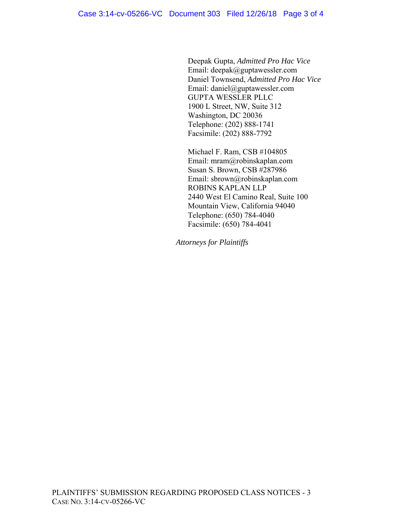Deepak Gupta, *Admitted Pro Hac Vice* Email: deepak@guptawessler.com Daniel Townsend, *Admitted Pro Hac Vice* Email: daniel@guptawessler.com GUPTA WESSLER PLLC 1900 L Street, NW, Suite 312 Washington, DC 20036 Telephone: (202) 888-1741 Facsimile: (202) 888-7792

Michael F. Ram, CSB #104805 Email: mram@robinskaplan.com Susan S. Brown, CSB #287986 Email: sbrown@robinskaplan.com ROBINS KAPLAN LLP 2440 West El Camino Real, Suite 100 Mountain View, California 94040 Telephone: (650) 784-4040 Facsimile: (650) 784-4041

*Attorneys for Plaintiffs*